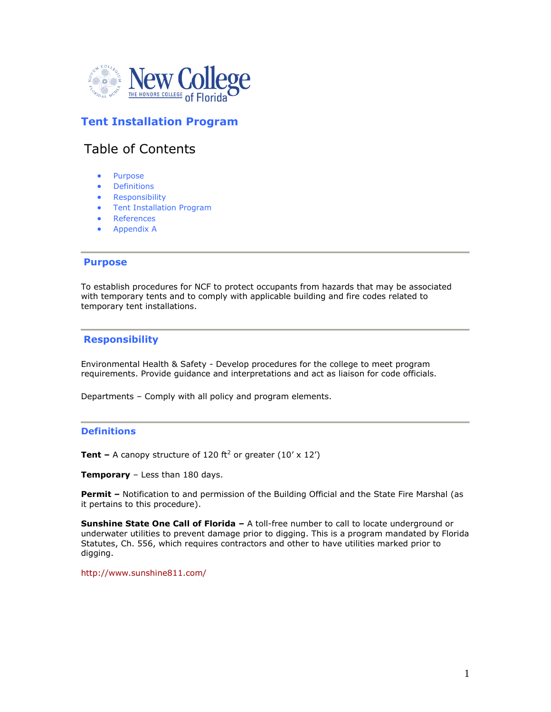

## **Tent Installation Program**

# Table of Contents

- [Purpose](http://www.safety.fsu.edu/policies/hearing.html#purpose#purpose)
- **•** [Definitions](http://www.safety.fsu.edu/policies/hearing.html#definitions#definitions)
- **•** [Responsibility](http://www.safety.fsu.edu/policies/hearing.html#responsibility#responsibility)
- **•** Tent Installation Program
- [References](http://www.safety.fsu.edu/policies/hearing.html#references#references)
- Appendix A

#### **Purpose**

To establish procedures for NCF to protect occupants from hazards that may be associated with temporary tents and to comply with applicable building and fire codes related to temporary tent installations.

#### **Responsibility**

Environmental Health & Safety - Develop procedures for the college to meet program requirements. Provide guidance and interpretations and act as liaison for code officials.

Departments – Comply with all policy and program elements.

#### **Definitions**

**Tent** – A canopy structure of 120 ft<sup>2</sup> or greater  $(10' \times 12')$ 

**Temporary** – Less than 180 days.

**Permit –** Notification to and permission of the Building Official and the State Fire Marshal (as it pertains to this procedure).

**Sunshine State One Call of Florida –** A toll-free number to call to locate underground or underwater utilities to prevent damage prior to digging. This is a program mandated by Florida Statutes, Ch. 556, which requires contractors and other to have utilities marked prior to digging.

<http://www.sunshine811.com/>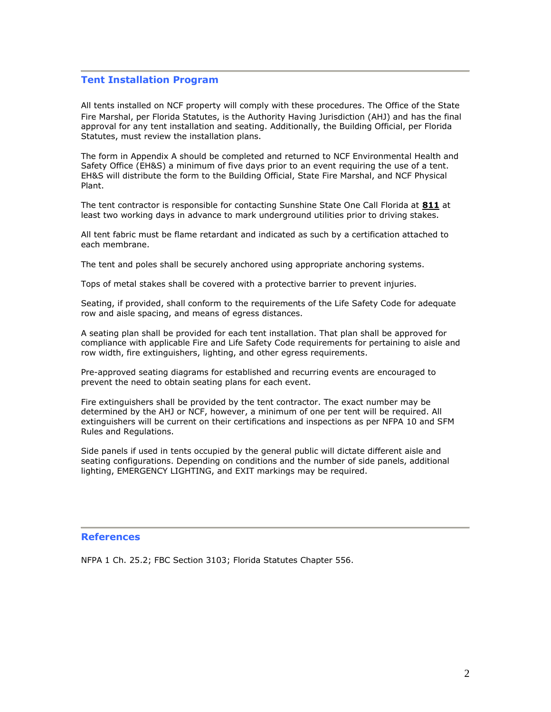#### **Tent Installation Program**

All tents installed on NCF property will comply with these procedures. The Office of the State Fire Marshal, per Florida Statutes, is the Authority Having Jurisdiction (AHJ) and has the final approval for any tent installation and seating. Additionally, the Building Official, per Florida Statutes, must review the installation plans.

The form in Appendix A should be completed and returned to NCF Environmental Health and Safety Office (EH&S) a minimum of five days prior to an event requiring the use of a tent. EH&S will distribute the form to the Building Official, State Fire Marshal, and NCF Physical Plant.

The tent contractor is responsible for contacting Sunshine State One Call Florida at **811** at least two working days in advance to mark underground utilities prior to driving stakes.

All tent fabric must be flame retardant and indicated as such by a certification attached to each membrane.

The tent and poles shall be securely anchored using appropriate anchoring systems.

Tops of metal stakes shall be covered with a protective barrier to prevent injuries.

Seating, if provided, shall conform to the requirements of the Life Safety Code for adequate row and aisle spacing, and means of egress distances.

A seating plan shall be provided for each tent installation. That plan shall be approved for compliance with applicable Fire and Life Safety Code requirements for pertaining to aisle and row width, fire extinguishers, lighting, and other egress requirements.

Pre-approved seating diagrams for established and recurring events are encouraged to prevent the need to obtain seating plans for each event.

Fire extinguishers shall be provided by the tent contractor. The exact number may be determined by the AHJ or NCF, however, a minimum of one per tent will be required. All extinguishers will be current on their certifications and inspections as per NFPA 10 and SFM Rules and Regulations.

Side panels if used in tents occupied by the general public will dictate different aisle and seating configurations. Depending on conditions and the number of side panels, additional lighting, EMERGENCY LIGHTING, and EXIT markings may be required.

#### **References**

NFPA 1 Ch. 25.2; FBC Section 3103; Florida Statutes Chapter 556.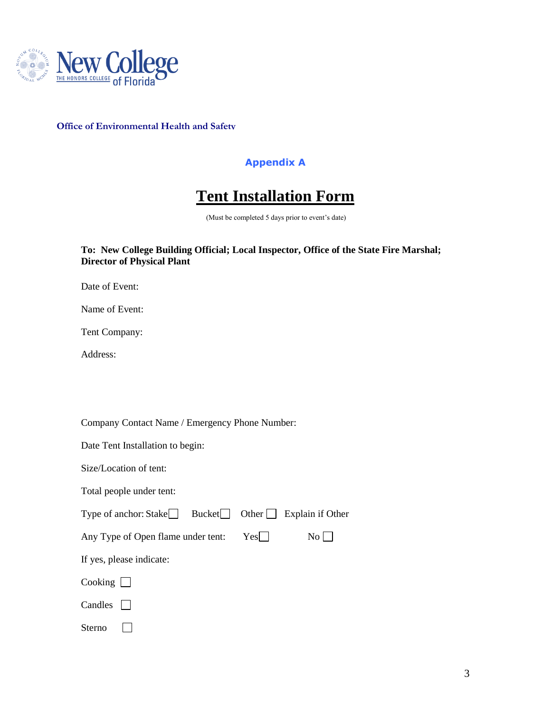

**Office of Environmental Health and Safety**

### **Appendix A**

# **Tent Installation Form**

(Must be completed 5 days prior to event's date)

#### **To: New College Building Official; Local Inspector, Office of the State Fire Marshal; Director of Physical Plant**

Date of Event:

Name of Event:

Tent Company:

Address:

Company Contact Name / Emergency Phone Number:

Date Tent Installation to begin:

Size/Location of tent:

| Total people under tent: |  |
|--------------------------|--|
|                          |  |

| Type of anchor: Stake□ Bucket□ Other □ Explain if Other |  |  |  |
|---------------------------------------------------------|--|--|--|
|---------------------------------------------------------|--|--|--|

| Any Type of Open flame under tent: | Yesl 1 | No |
|------------------------------------|--------|----|
| If yes, please indicate:           |        |    |
| $\text{Cooking}$                   |        |    |

Candles  $\Box$ 

Sterno  $\Box$